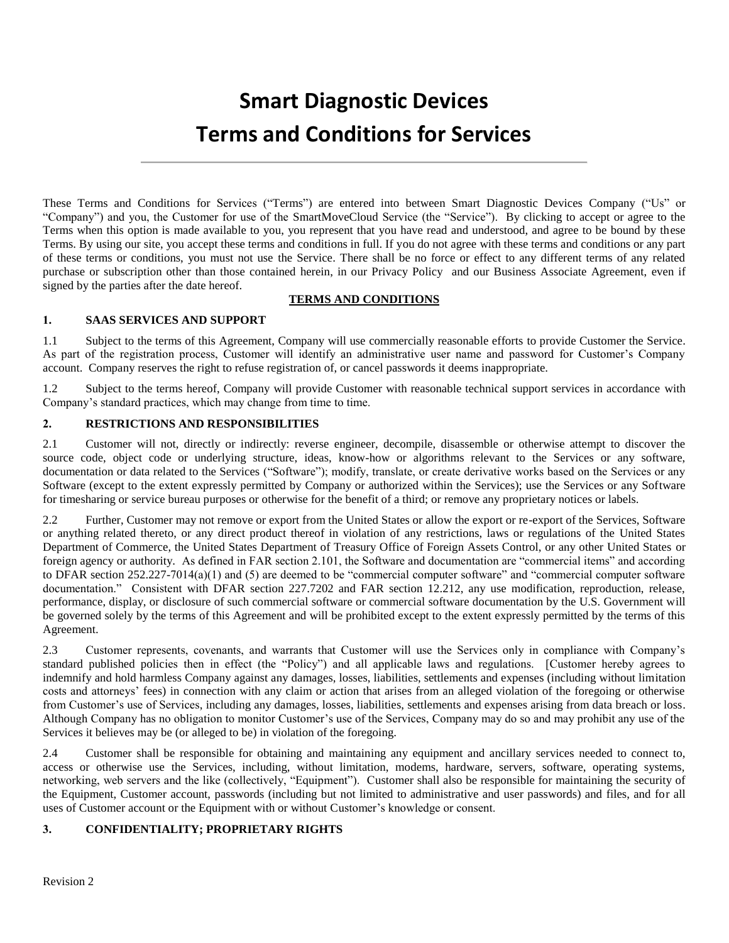# **Smart Diagnostic Devices Terms and Conditions for Services**

These Terms and Conditions for Services ("Terms") are entered into between Smart Diagnostic Devices Company ("Us" or "Company") and you, the Customer for use of the SmartMoveCloud Service (the "Service"). By clicking to accept or agree to the Terms when this option is made available to you, you represent that you have read and understood, and agree to be bound by these Terms. By using our site, you accept these terms and conditions in full. If you do not agree with these terms and conditions or any part of these terms or conditions, you must not use the Service. There shall be no force or effect to any different terms of any related purchase or subscription other than those contained herein, in our Privacy Policy and our Business Associate Agreement, even if signed by the parties after the date hereof.

#### **TERMS AND CONDITIONS**

#### **1. SAAS SERVICES AND SUPPORT**

1.1 Subject to the terms of this Agreement, Company will use commercially reasonable efforts to provide Customer the Service. As part of the registration process, Customer will identify an administrative user name and password for Customer's Company account. Company reserves the right to refuse registration of, or cancel passwords it deems inappropriate.

1.2 Subject to the terms hereof, Company will provide Customer with reasonable technical support services in accordance with Company's standard practices, which may change from time to time.

#### **2. RESTRICTIONS AND RESPONSIBILITIES**

2.1 Customer will not, directly or indirectly: reverse engineer, decompile, disassemble or otherwise attempt to discover the source code, object code or underlying structure, ideas, know-how or algorithms relevant to the Services or any software, documentation or data related to the Services ("Software"); modify, translate, or create derivative works based on the Services or any Software (except to the extent expressly permitted by Company or authorized within the Services); use the Services or any Software for timesharing or service bureau purposes or otherwise for the benefit of a third; or remove any proprietary notices or labels.

2.2 Further, Customer may not remove or export from the United States or allow the export or re-export of the Services, Software or anything related thereto, or any direct product thereof in violation of any restrictions, laws or regulations of the United States Department of Commerce, the United States Department of Treasury Office of Foreign Assets Control, or any other United States or foreign agency or authority. As defined in FAR section 2.101, the Software and documentation are "commercial items" and according to DFAR section 252.227-7014(a)(1) and (5) are deemed to be "commercial computer software" and "commercial computer software documentation." Consistent with DFAR section 227.7202 and FAR section 12.212, any use modification, reproduction, release, performance, display, or disclosure of such commercial software or commercial software documentation by the U.S. Government will be governed solely by the terms of this Agreement and will be prohibited except to the extent expressly permitted by the terms of this Agreement.

2.3 Customer represents, covenants, and warrants that Customer will use the Services only in compliance with Company's standard published policies then in effect (the "Policy") and all applicable laws and regulations. [Customer hereby agrees to indemnify and hold harmless Company against any damages, losses, liabilities, settlements and expenses (including without limitation costs and attorneys' fees) in connection with any claim or action that arises from an alleged violation of the foregoing or otherwise from Customer's use of Services, including any damages, losses, liabilities, settlements and expenses arising from data breach or loss. Although Company has no obligation to monitor Customer's use of the Services, Company may do so and may prohibit any use of the Services it believes may be (or alleged to be) in violation of the foregoing.

2.4 Customer shall be responsible for obtaining and maintaining any equipment and ancillary services needed to connect to, access or otherwise use the Services, including, without limitation, modems, hardware, servers, software, operating systems, networking, web servers and the like (collectively, "Equipment"). Customer shall also be responsible for maintaining the security of the Equipment, Customer account, passwords (including but not limited to administrative and user passwords) and files, and for all uses of Customer account or the Equipment with or without Customer's knowledge or consent.

# **3. CONFIDENTIALITY; PROPRIETARY RIGHTS**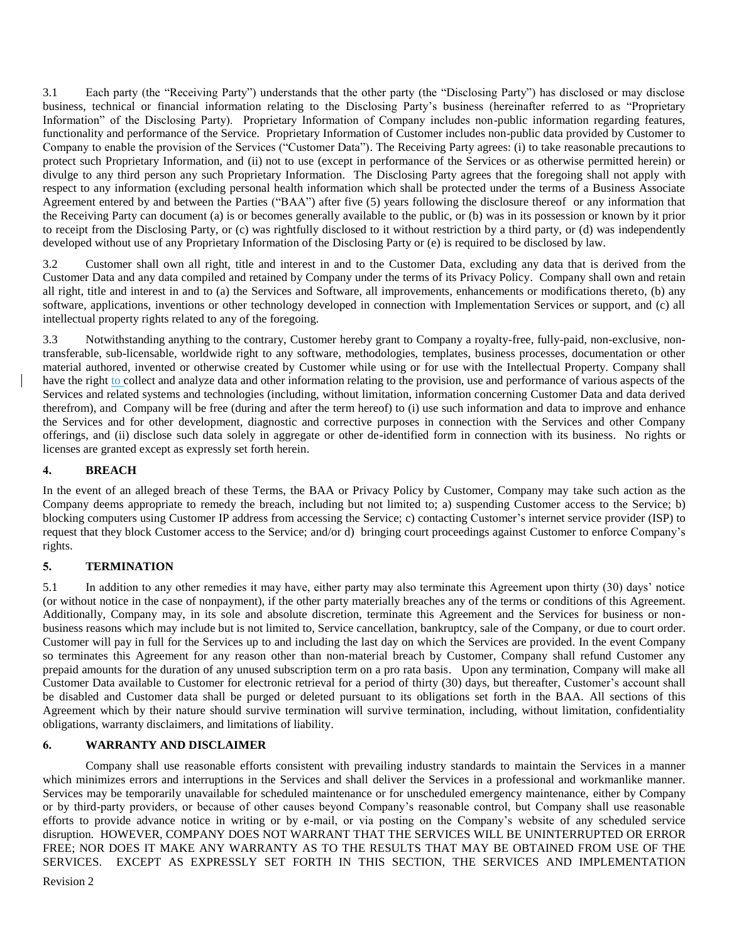3.1 Each party (the "Receiving Party") understands that the other party (the "Disclosing Party") has disclosed or may disclose business, technical or financial information relating to the Disclosing Party's business (hereinafter referred to as "Proprietary Information" of the Disclosing Party). Proprietary Information of Company includes non-public information regarding features, functionality and performance of the Service. Proprietary Information of Customer includes non-public data provided by Customer to Company to enable the provision of the Services ("Customer Data"). The Receiving Party agrees: (i) to take reasonable precautions to protect such Proprietary Information, and (ii) not to use (except in performance of the Services or as otherwise permitted herein) or divulge to any third person any such Proprietary Information. The Disclosing Party agrees that the foregoing shall not apply with respect to any information (excluding personal health information which shall be protected under the terms of a Business Associate Agreement entered by and between the Parties ("BAA") after five (5) years following the disclosure thereof or any information that the Receiving Party can document (a) is or becomes generally available to the public, or (b) was in its possession or known by it prior to receipt from the Disclosing Party, or (c) was rightfully disclosed to it without restriction by a third party, or (d) was independently developed without use of any Proprietary Information of the Disclosing Party or (e) is required to be disclosed by law.

3.2 Customer shall own all right, title and interest in and to the Customer Data, excluding any data that is derived from the Customer Data and any data compiled and retained by Company under the terms of its Privacy Policy. Company shall own and retain all right, title and interest in and to (a) the Services and Software, all improvements, enhancements or modifications thereto, (b) any software, applications, inventions or other technology developed in connection with Implementation Services or support, and (c) all intellectual property rights related to any of the foregoing.

3.3 Notwithstanding anything to the contrary, Customer hereby grant to Company a royalty-free, fully-paid, non-exclusive, nontransferable, sub-licensable, worldwide right to any software, methodologies, templates, business processes, documentation or other material authored, invented or otherwise created by Customer while using or for use with the Intellectual Property. Company shall have the right to collect and analyze data and other information relating to the provision, use and performance of various aspects of the Services and related systems and technologies (including, without limitation, information concerning Customer Data and data derived therefrom), and Company will be free (during and after the term hereof) to (i) use such information and data to improve and enhance the Services and for other development, diagnostic and corrective purposes in connection with the Services and other Company offerings, and (ii) disclose such data solely in aggregate or other de-identified form in connection with its business. No rights or licenses are granted except as expressly set forth herein.

# **4. BREACH**

In the event of an alleged breach of these Terms, the BAA or Privacy Policy by Customer, Company may take such action as the Company deems appropriate to remedy the breach, including but not limited to; a) suspending Customer access to the Service; b) blocking computers using Customer IP address from accessing the Service; c) contacting Customer's internet service provider (ISP) to request that they block Customer access to the Service; and/or d) bringing court proceedings against Customer to enforce Company's rights.

# **5. TERMINATION**

5.1 In addition to any other remedies it may have, either party may also terminate this Agreement upon thirty (30) days' notice (or without notice in the case of nonpayment), if the other party materially breaches any of the terms or conditions of this Agreement. Additionally, Company may, in its sole and absolute discretion, terminate this Agreement and the Services for business or nonbusiness reasons which may include but is not limited to, Service cancellation, bankruptcy, sale of the Company, or due to court order. Customer will pay in full for the Services up to and including the last day on which the Services are provided. In the event Company so terminates this Agreement for any reason other than non-material breach by Customer, Company shall refund Customer any prepaid amounts for the duration of any unused subscription term on a pro rata basis. Upon any termination, Company will make all Customer Data available to Customer for electronic retrieval for a period of thirty (30) days, but thereafter, Customer's account shall be disabled and Customer data shall be purged or deleted pursuant to its obligations set forth in the BAA. All sections of this Agreement which by their nature should survive termination will survive termination, including, without limitation, confidentiality obligations, warranty disclaimers, and limitations of liability.

# **6. WARRANTY AND DISCLAIMER**

Company shall use reasonable efforts consistent with prevailing industry standards to maintain the Services in a manner which minimizes errors and interruptions in the Services and shall deliver the Services in a professional and workmanlike manner. Services may be temporarily unavailable for scheduled maintenance or for unscheduled emergency maintenance, either by Company or by third-party providers, or because of other causes beyond Company's reasonable control, but Company shall use reasonable efforts to provide advance notice in writing or by e-mail, or via posting on the Company's website of any scheduled service disruption. HOWEVER, COMPANY DOES NOT WARRANT THAT THE SERVICES WILL BE UNINTERRUPTED OR ERROR FREE; NOR DOES IT MAKE ANY WARRANTY AS TO THE RESULTS THAT MAY BE OBTAINED FROM USE OF THE SERVICES.EXCEPT AS EXPRESSLY SET FORTH IN THIS SECTION, THE SERVICES AND IMPLEMENTATION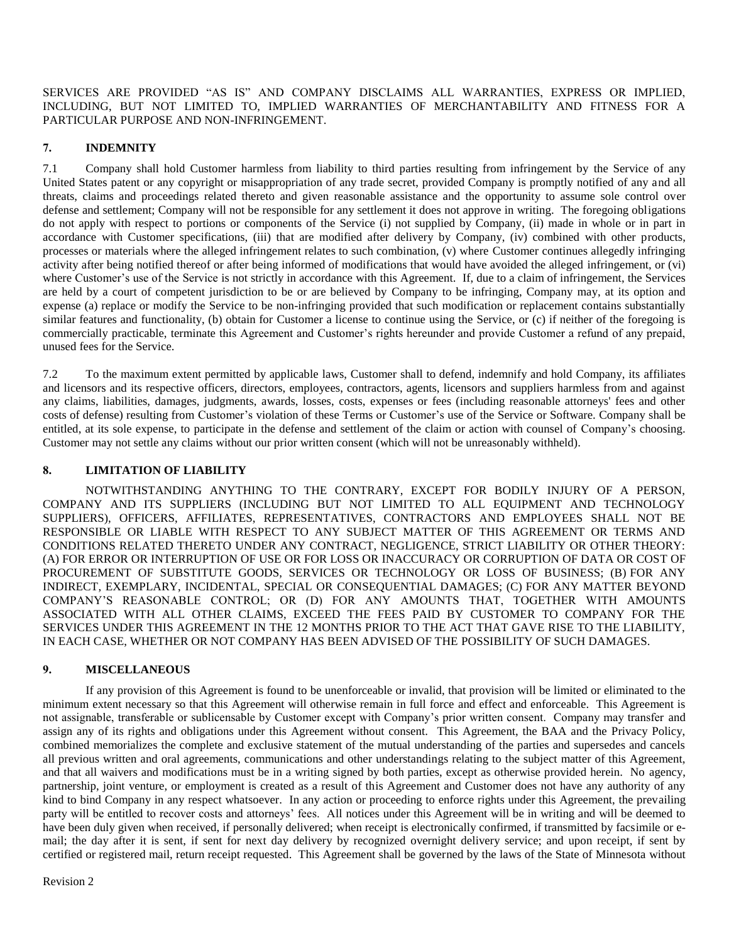SERVICES ARE PROVIDED "AS IS" AND COMPANY DISCLAIMS ALL WARRANTIES, EXPRESS OR IMPLIED, INCLUDING, BUT NOT LIMITED TO, IMPLIED WARRANTIES OF MERCHANTABILITY AND FITNESS FOR A PARTICULAR PURPOSE AND NON-INFRINGEMENT.

# **7. INDEMNITY**

7.1 Company shall hold Customer harmless from liability to third parties resulting from infringement by the Service of any United States patent or any copyright or misappropriation of any trade secret, provided Company is promptly notified of any and all threats, claims and proceedings related thereto and given reasonable assistance and the opportunity to assume sole control over defense and settlement; Company will not be responsible for any settlement it does not approve in writing. The foregoing obligations do not apply with respect to portions or components of the Service (i) not supplied by Company, (ii) made in whole or in part in accordance with Customer specifications, (iii) that are modified after delivery by Company, (iv) combined with other products, processes or materials where the alleged infringement relates to such combination, (v) where Customer continues allegedly infringing activity after being notified thereof or after being informed of modifications that would have avoided the alleged infringement, or (vi) where Customer's use of the Service is not strictly in accordance with this Agreement. If, due to a claim of infringement, the Services are held by a court of competent jurisdiction to be or are believed by Company to be infringing, Company may, at its option and expense (a) replace or modify the Service to be non-infringing provided that such modification or replacement contains substantially similar features and functionality, (b) obtain for Customer a license to continue using the Service, or (c) if neither of the foregoing is commercially practicable, terminate this Agreement and Customer's rights hereunder and provide Customer a refund of any prepaid, unused fees for the Service.

7.2 To the maximum extent permitted by applicable laws, Customer shall to defend, indemnify and hold Company, its affiliates and licensors and its respective officers, directors, employees, contractors, agents, licensors and suppliers harmless from and against any claims, liabilities, damages, judgments, awards, losses, costs, expenses or fees (including reasonable attorneys' fees and other costs of defense) resulting from Customer's violation of these Terms or Customer's use of the Service or Software. Company shall be entitled, at its sole expense, to participate in the defense and settlement of the claim or action with counsel of Company's choosing. Customer may not settle any claims without our prior written consent (which will not be unreasonably withheld).

# **8. LIMITATION OF LIABILITY**

NOTWITHSTANDING ANYTHING TO THE CONTRARY, EXCEPT FOR BODILY INJURY OF A PERSON, COMPANY AND ITS SUPPLIERS (INCLUDING BUT NOT LIMITED TO ALL EQUIPMENT AND TECHNOLOGY SUPPLIERS), OFFICERS, AFFILIATES, REPRESENTATIVES, CONTRACTORS AND EMPLOYEES SHALL NOT BE RESPONSIBLE OR LIABLE WITH RESPECT TO ANY SUBJECT MATTER OF THIS AGREEMENT OR TERMS AND CONDITIONS RELATED THERETO UNDER ANY CONTRACT, NEGLIGENCE, STRICT LIABILITY OR OTHER THEORY: (A) FOR ERROR OR INTERRUPTION OF USE OR FOR LOSS OR INACCURACY OR CORRUPTION OF DATA OR COST OF PROCUREMENT OF SUBSTITUTE GOODS, SERVICES OR TECHNOLOGY OR LOSS OF BUSINESS; (B) FOR ANY INDIRECT, EXEMPLARY, INCIDENTAL, SPECIAL OR CONSEQUENTIAL DAMAGES; (C) FOR ANY MATTER BEYOND COMPANY'S REASONABLE CONTROL; OR (D) FOR ANY AMOUNTS THAT, TOGETHER WITH AMOUNTS ASSOCIATED WITH ALL OTHER CLAIMS, EXCEED THE FEES PAID BY CUSTOMER TO COMPANY FOR THE SERVICES UNDER THIS AGREEMENT IN THE 12 MONTHS PRIOR TO THE ACT THAT GAVE RISE TO THE LIABILITY, IN EACH CASE, WHETHER OR NOT COMPANY HAS BEEN ADVISED OF THE POSSIBILITY OF SUCH DAMAGES.

# **9. MISCELLANEOUS**

If any provision of this Agreement is found to be unenforceable or invalid, that provision will be limited or eliminated to the minimum extent necessary so that this Agreement will otherwise remain in full force and effect and enforceable. This Agreement is not assignable, transferable or sublicensable by Customer except with Company's prior written consent. Company may transfer and assign any of its rights and obligations under this Agreement without consent. This Agreement, the BAA and the Privacy Policy, combined memorializes the complete and exclusive statement of the mutual understanding of the parties and supersedes and cancels all previous written and oral agreements, communications and other understandings relating to the subject matter of this Agreement, and that all waivers and modifications must be in a writing signed by both parties, except as otherwise provided herein. No agency, partnership, joint venture, or employment is created as a result of this Agreement and Customer does not have any authority of any kind to bind Company in any respect whatsoever. In any action or proceeding to enforce rights under this Agreement, the prevailing party will be entitled to recover costs and attorneys' fees. All notices under this Agreement will be in writing and will be deemed to have been duly given when received, if personally delivered; when receipt is electronically confirmed, if transmitted by facsimile or email; the day after it is sent, if sent for next day delivery by recognized overnight delivery service; and upon receipt, if sent by certified or registered mail, return receipt requested. This Agreement shall be governed by the laws of the State of Minnesota without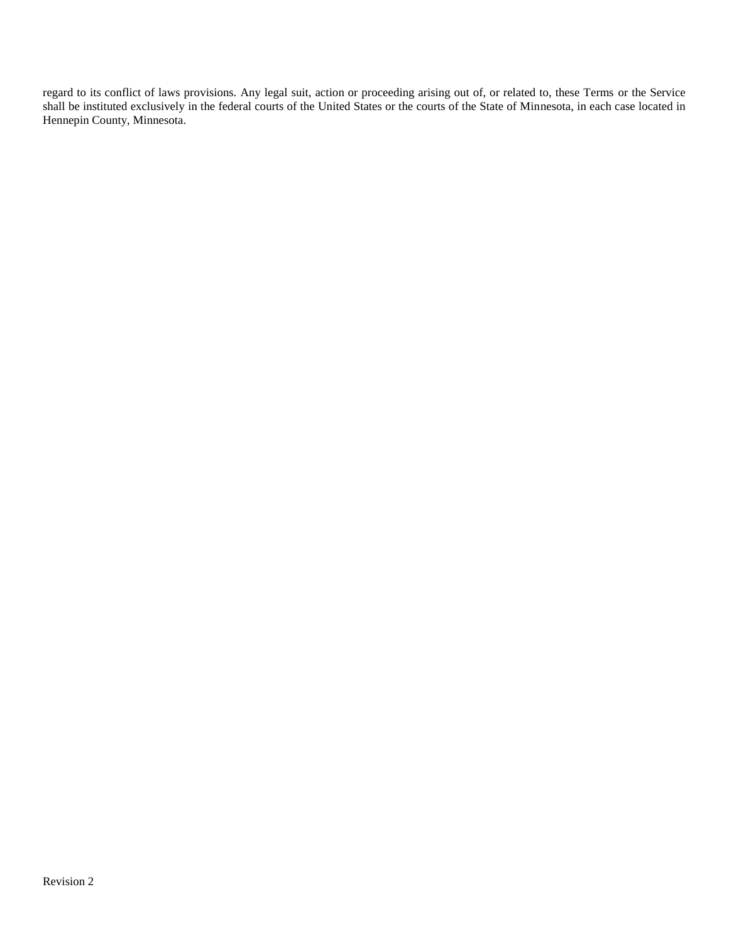regard to its conflict of laws provisions. Any legal suit, action or proceeding arising out of, or related to, these Terms or the Service shall be instituted exclusively in the federal courts of the United States or the courts of the State of Minnesota, in each case located in Hennepin County, Minnesota.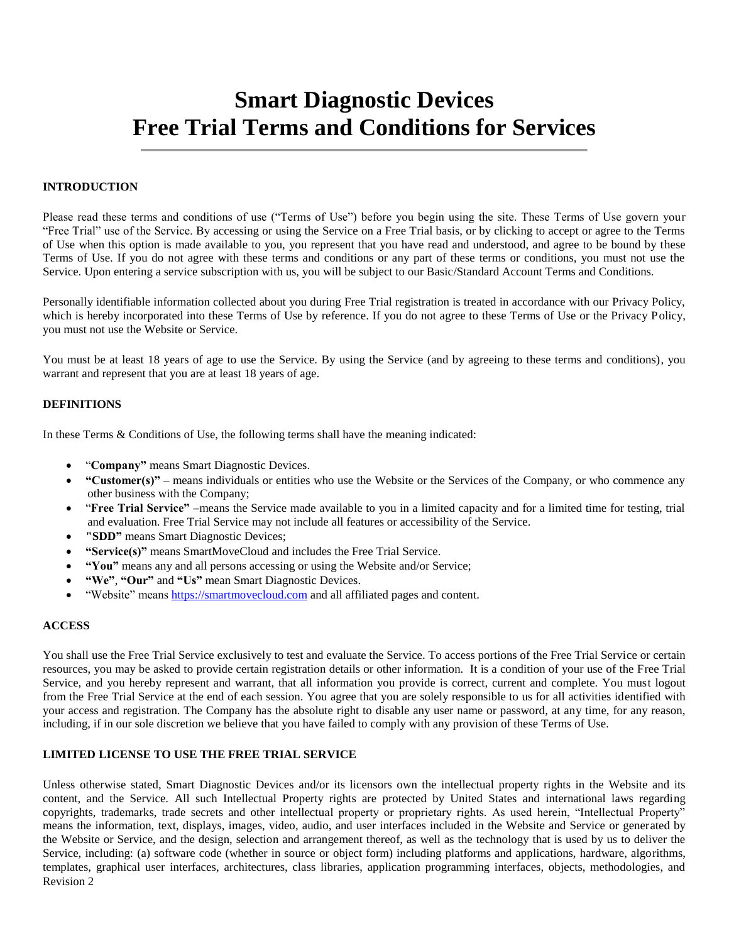# **Smart Diagnostic Devices Free Trial Terms and Conditions for Services**

# **INTRODUCTION**

Please read these terms and conditions of use ("Terms of Use") before you begin using the site. These Terms of Use govern your "Free Trial" use of the Service. By accessing or using the Service on a Free Trial basis, or by clicking to accept or agree to the Terms of Use when this option is made available to you, you represent that you have read and understood, and agree to be bound by these Terms of Use. If you do not agree with these terms and conditions or any part of these terms or conditions, you must not use the Service. Upon entering a service subscription with us, you will be subject to our Basic/Standard Account Terms and Conditions.

Personally identifiable information collected about you during Free Trial registration is treated in accordance with our Privacy Policy, which is hereby incorporated into these Terms of Use by reference. If you do not agree to these Terms of Use or the Privacy Policy, you must not use the Website or Service.

You must be at least 18 years of age to use the Service. By using the Service (and by agreeing to these terms and conditions), you warrant and represent that you are at least 18 years of age.

#### **DEFINITIONS**

In these Terms & Conditions of Use, the following terms shall have the meaning indicated:

- "**Company"** means Smart Diagnostic Devices.
- **"Customer(s)"** means individuals or entities who use the Website or the Services of the Company, or who commence any other business with the Company;
- "**Free Trial Service" –**means the Service made available to you in a limited capacity and for a limited time for testing, trial and evaluation. Free Trial Service may not include all features or accessibility of the Service.
- **"SDD"** means Smart Diagnostic Devices;
- **"Service(s)"** means SmartMoveCloud and includes the Free Trial Service.
- **"You"** means any and all persons accessing or using the Website and/or Service;
- **"We"**, **"Our"** and **"Us"** mean Smart Diagnostic Devices.
- "Website" means [https://smartmovecloud.com](https://smartmovecloud.com/) and all affiliated pages and content.

#### **ACCESS**

You shall use the Free Trial Service exclusively to test and evaluate the Service. To access portions of the Free Trial Service or certain resources, you may be asked to provide certain registration details or other information. It is a condition of your use of the Free Trial Service, and you hereby represent and warrant, that all information you provide is correct, current and complete. You must logout from the Free Trial Service at the end of each session. You agree that you are solely responsible to us for all activities identified with your access and registration. The Company has the absolute right to disable any user name or password, at any time, for any reason, including, if in our sole discretion we believe that you have failed to comply with any provision of these Terms of Use.

#### **LIMITED LICENSE TO USE THE FREE TRIAL SERVICE**

Revision 2 Unless otherwise stated, Smart Diagnostic Devices and/or its licensors own the intellectual property rights in the Website and its content, and the Service. All such Intellectual Property rights are protected by United States and international laws regarding copyrights, trademarks, trade secrets and other intellectual property or proprietary rights. As used herein, "Intellectual Property" means the information, text, displays, images, video, audio, and user interfaces included in the Website and Service or generated by the Website or Service, and the design, selection and arrangement thereof, as well as the technology that is used by us to deliver the Service, including: (a) software code (whether in source or object form) including platforms and applications, hardware, algorithms, templates, graphical user interfaces, architectures, class libraries, application programming interfaces, objects, methodologies, and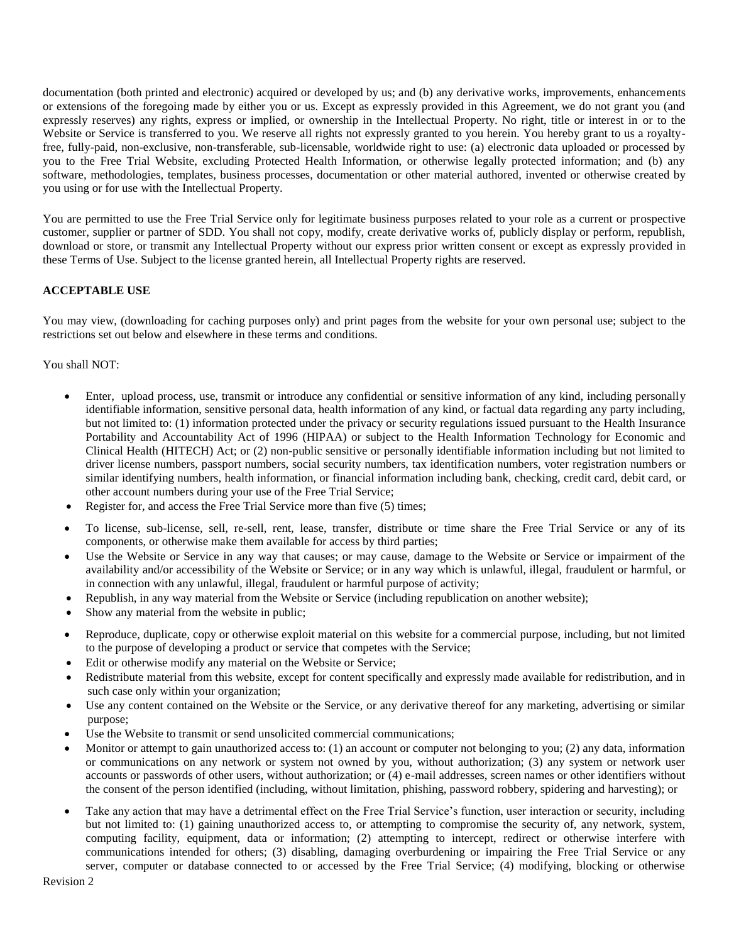documentation (both printed and electronic) acquired or developed by us; and (b) any derivative works, improvements, enhancements or extensions of the foregoing made by either you or us. Except as expressly provided in this Agreement, we do not grant you (and expressly reserves) any rights, express or implied, or ownership in the Intellectual Property. No right, title or interest in or to the Website or Service is transferred to you. We reserve all rights not expressly granted to you herein. You hereby grant to us a royaltyfree, fully-paid, non-exclusive, non-transferable, sub-licensable, worldwide right to use: (a) electronic data uploaded or processed by you to the Free Trial Website, excluding Protected Health Information, or otherwise legally protected information; and (b) any software, methodologies, templates, business processes, documentation or other material authored, invented or otherwise created by you using or for use with the Intellectual Property.

You are permitted to use the Free Trial Service only for legitimate business purposes related to your role as a current or prospective customer, supplier or partner of SDD. You shall not copy, modify, create derivative works of, publicly display or perform, republish, download or store, or transmit any Intellectual Property without our express prior written consent or except as expressly provided in these Terms of Use. Subject to the license granted herein, all Intellectual Property rights are reserved.

# **ACCEPTABLE USE**

You may view, (downloading for caching purposes only) and print pages from the website for your own personal use; subject to the restrictions set out below and elsewhere in these terms and conditions.

You shall NOT:

- Enter, upload process, use, transmit or introduce any confidential or sensitive information of any kind, including personally identifiable information, sensitive personal data, health information of any kind, or factual data regarding any party including, but not limited to: (1) information protected under the privacy or security regulations issued pursuant to the Health Insurance Portability and Accountability Act of 1996 (HIPAA) or subject to the Health Information Technology for Economic and Clinical Health (HITECH) Act; or (2) non-public sensitive or personally identifiable information including but not limited to driver license numbers, passport numbers, social security numbers, tax identification numbers, voter registration numbers or similar identifying numbers, health information, or financial information including bank, checking, credit card, debit card, or other account numbers during your use of the Free Trial Service;
- Register for, and access the Free Trial Service more than five (5) times;
- To license, sub-license, sell, re-sell, rent, lease, transfer, distribute or time share the Free Trial Service or any of its components, or otherwise make them available for access by third parties;
- Use the Website or Service in any way that causes; or may cause, damage to the Website or Service or impairment of the availability and/or accessibility of the Website or Service; or in any way which is unlawful, illegal, fraudulent or harmful, or in connection with any unlawful, illegal, fraudulent or harmful purpose of activity;
- Republish, in any way material from the Website or Service (including republication on another website);
- Show any material from the website in public;
- Reproduce, duplicate, copy or otherwise exploit material on this website for a commercial purpose, including, but not limited to the purpose of developing a product or service that competes with the Service;
- Edit or otherwise modify any material on the Website or Service;
- Redistribute material from this website, except for content specifically and expressly made available for redistribution, and in such case only within your organization;
- Use any content contained on the Website or the Service, or any derivative thereof for any marketing, advertising or similar purpose;
- Use the Website to transmit or send unsolicited commercial communications;
- Monitor or attempt to gain unauthorized access to: (1) an account or computer not belonging to you; (2) any data, information or communications on any network or system not owned by you, without authorization; (3) any system or network user accounts or passwords of other users, without authorization; or (4) e-mail addresses, screen names or other identifiers without the consent of the person identified (including, without limitation, phishing, password robbery, spidering and harvesting); or
- Take any action that may have a detrimental effect on the Free Trial Service's function, user interaction or security, including but not limited to: (1) gaining unauthorized access to, or attempting to compromise the security of, any network, system, computing facility, equipment, data or information; (2) attempting to intercept, redirect or otherwise interfere with communications intended for others; (3) disabling, damaging overburdening or impairing the Free Trial Service or any server, computer or database connected to or accessed by the Free Trial Service; (4) modifying, blocking or otherwise

Revision 2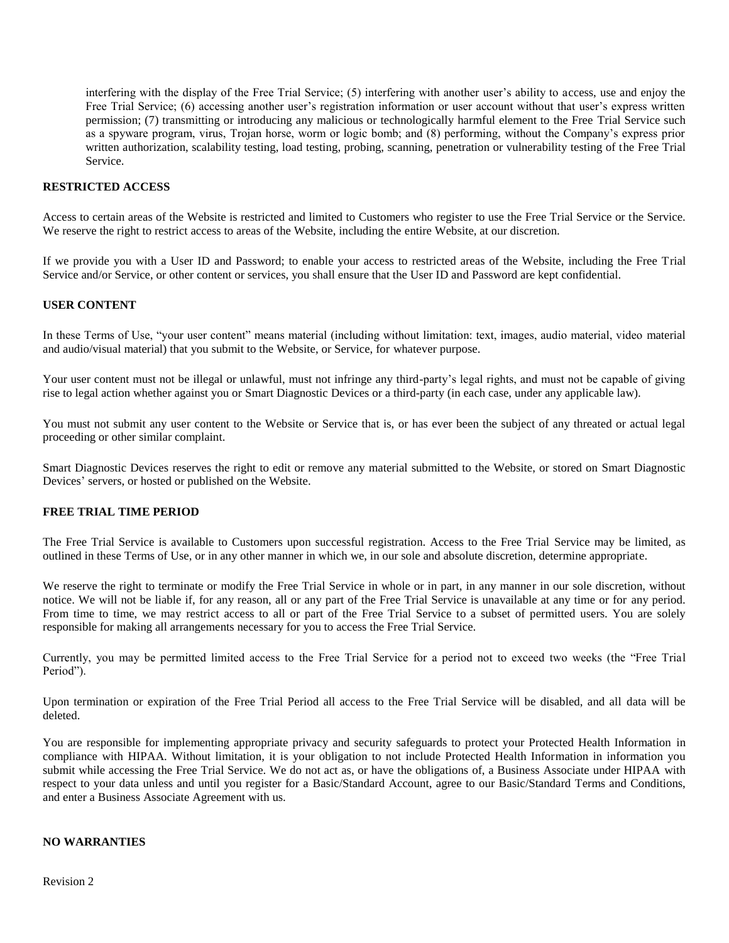interfering with the display of the Free Trial Service; (5) interfering with another user's ability to access, use and enjoy the Free Trial Service; (6) accessing another user's registration information or user account without that user's express written permission; (7) transmitting or introducing any malicious or technologically harmful element to the Free Trial Service such as a spyware program, virus, Trojan horse, worm or logic bomb; and (8) performing, without the Company's express prior written authorization, scalability testing, load testing, probing, scanning, penetration or vulnerability testing of the Free Trial Service.

#### **RESTRICTED ACCESS**

Access to certain areas of the Website is restricted and limited to Customers who register to use the Free Trial Service or the Service. We reserve the right to restrict access to areas of the Website, including the entire Website, at our discretion.

If we provide you with a User ID and Password; to enable your access to restricted areas of the Website, including the Free Trial Service and/or Service, or other content or services, you shall ensure that the User ID and Password are kept confidential.

#### **USER CONTENT**

In these Terms of Use, "your user content" means material (including without limitation: text, images, audio material, video material and audio/visual material) that you submit to the Website, or Service, for whatever purpose.

Your user content must not be illegal or unlawful, must not infringe any third-party's legal rights, and must not be capable of giving rise to legal action whether against you or Smart Diagnostic Devices or a third-party (in each case, under any applicable law).

You must not submit any user content to the Website or Service that is, or has ever been the subject of any threated or actual legal proceeding or other similar complaint.

Smart Diagnostic Devices reserves the right to edit or remove any material submitted to the Website, or stored on Smart Diagnostic Devices' servers, or hosted or published on the Website.

#### **FREE TRIAL TIME PERIOD**

The Free Trial Service is available to Customers upon successful registration. Access to the Free Trial Service may be limited, as outlined in these Terms of Use, or in any other manner in which we, in our sole and absolute discretion, determine appropriate.

We reserve the right to terminate or modify the Free Trial Service in whole or in part, in any manner in our sole discretion, without notice. We will not be liable if, for any reason, all or any part of the Free Trial Service is unavailable at any time or for any period. From time to time, we may restrict access to all or part of the Free Trial Service to a subset of permitted users. You are solely responsible for making all arrangements necessary for you to access the Free Trial Service.

Currently, you may be permitted limited access to the Free Trial Service for a period not to exceed two weeks (the "Free Trial Period").

Upon termination or expiration of the Free Trial Period all access to the Free Trial Service will be disabled, and all data will be deleted.

You are responsible for implementing appropriate privacy and security safeguards to protect your Protected Health Information in compliance with HIPAA. Without limitation, it is your obligation to not include Protected Health Information in information you submit while accessing the Free Trial Service. We do not act as, or have the obligations of, a Business Associate under HIPAA with respect to your data unless and until you register for a Basic/Standard Account, agree to our Basic/Standard Terms and Conditions, and enter a Business Associate Agreement with us.

#### **NO WARRANTIES**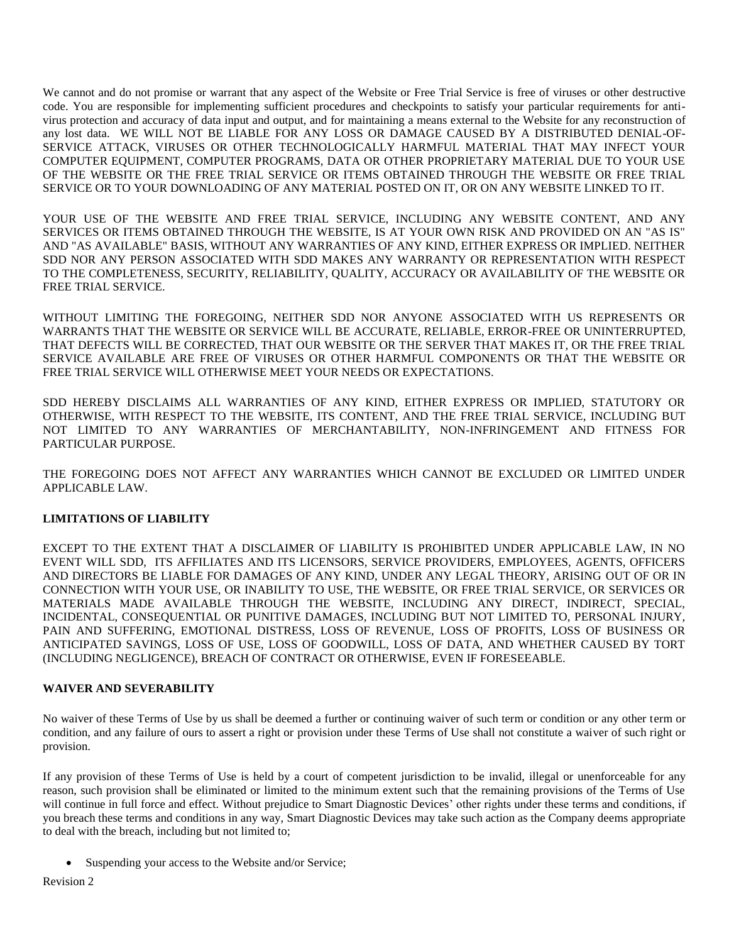We cannot and do not promise or warrant that any aspect of the Website or Free Trial Service is free of viruses or other destructive code. You are responsible for implementing sufficient procedures and checkpoints to satisfy your particular requirements for antivirus protection and accuracy of data input and output, and for maintaining a means external to the Website for any reconstruction of any lost data. WE WILL NOT BE LIABLE FOR ANY LOSS OR DAMAGE CAUSED BY A DISTRIBUTED DENIAL-OF-SERVICE ATTACK, VIRUSES OR OTHER TECHNOLOGICALLY HARMFUL MATERIAL THAT MAY INFECT YOUR COMPUTER EQUIPMENT, COMPUTER PROGRAMS, DATA OR OTHER PROPRIETARY MATERIAL DUE TO YOUR USE OF THE WEBSITE OR THE FREE TRIAL SERVICE OR ITEMS OBTAINED THROUGH THE WEBSITE OR FREE TRIAL SERVICE OR TO YOUR DOWNLOADING OF ANY MATERIAL POSTED ON IT, OR ON ANY WEBSITE LINKED TO IT.

YOUR USE OF THE WEBSITE AND FREE TRIAL SERVICE, INCLUDING ANY WEBSITE CONTENT, AND ANY SERVICES OR ITEMS OBTAINED THROUGH THE WEBSITE, IS AT YOUR OWN RISK AND PROVIDED ON AN "AS IS" AND "AS AVAILABLE" BASIS, WITHOUT ANY WARRANTIES OF ANY KIND, EITHER EXPRESS OR IMPLIED. NEITHER SDD NOR ANY PERSON ASSOCIATED WITH SDD MAKES ANY WARRANTY OR REPRESENTATION WITH RESPECT TO THE COMPLETENESS, SECURITY, RELIABILITY, QUALITY, ACCURACY OR AVAILABILITY OF THE WEBSITE OR FREE TRIAL SERVICE.

WITHOUT LIMITING THE FOREGOING, NEITHER SDD NOR ANYONE ASSOCIATED WITH US REPRESENTS OR WARRANTS THAT THE WEBSITE OR SERVICE WILL BE ACCURATE, RELIABLE, ERROR-FREE OR UNINTERRUPTED, THAT DEFECTS WILL BE CORRECTED, THAT OUR WEBSITE OR THE SERVER THAT MAKES IT, OR THE FREE TRIAL SERVICE AVAILABLE ARE FREE OF VIRUSES OR OTHER HARMFUL COMPONENTS OR THAT THE WEBSITE OR FREE TRIAL SERVICE WILL OTHERWISE MEET YOUR NEEDS OR EXPECTATIONS.

SDD HEREBY DISCLAIMS ALL WARRANTIES OF ANY KIND, EITHER EXPRESS OR IMPLIED, STATUTORY OR OTHERWISE, WITH RESPECT TO THE WEBSITE, ITS CONTENT, AND THE FREE TRIAL SERVICE, INCLUDING BUT NOT LIMITED TO ANY WARRANTIES OF MERCHANTABILITY, NON-INFRINGEMENT AND FITNESS FOR PARTICULAR PURPOSE.

THE FOREGOING DOES NOT AFFECT ANY WARRANTIES WHICH CANNOT BE EXCLUDED OR LIMITED UNDER APPLICABLE LAW.

# **LIMITATIONS OF LIABILITY**

EXCEPT TO THE EXTENT THAT A DISCLAIMER OF LIABILITY IS PROHIBITED UNDER APPLICABLE LAW, IN NO EVENT WILL SDD, ITS AFFILIATES AND ITS LICENSORS, SERVICE PROVIDERS, EMPLOYEES, AGENTS, OFFICERS AND DIRECTORS BE LIABLE FOR DAMAGES OF ANY KIND, UNDER ANY LEGAL THEORY, ARISING OUT OF OR IN CONNECTION WITH YOUR USE, OR INABILITY TO USE, THE WEBSITE, OR FREE TRIAL SERVICE, OR SERVICES OR MATERIALS MADE AVAILABLE THROUGH THE WEBSITE, INCLUDING ANY DIRECT, INDIRECT, SPECIAL, INCIDENTAL, CONSEQUENTIAL OR PUNITIVE DAMAGES, INCLUDING BUT NOT LIMITED TO, PERSONAL INJURY, PAIN AND SUFFERING, EMOTIONAL DISTRESS, LOSS OF REVENUE, LOSS OF PROFITS, LOSS OF BUSINESS OR ANTICIPATED SAVINGS, LOSS OF USE, LOSS OF GOODWILL, LOSS OF DATA, AND WHETHER CAUSED BY TORT (INCLUDING NEGLIGENCE), BREACH OF CONTRACT OR OTHERWISE, EVEN IF FORESEEABLE.

# **WAIVER AND SEVERABILITY**

No waiver of these Terms of Use by us shall be deemed a further or continuing waiver of such term or condition or any other term or condition, and any failure of ours to assert a right or provision under these Terms of Use shall not constitute a waiver of such right or provision.

If any provision of these Terms of Use is held by a court of competent jurisdiction to be invalid, illegal or unenforceable for any reason, such provision shall be eliminated or limited to the minimum extent such that the remaining provisions of the Terms of Use will continue in full force and effect. Without prejudice to Smart Diagnostic Devices' other rights under these terms and conditions, if you breach these terms and conditions in any way, Smart Diagnostic Devices may take such action as the Company deems appropriate to deal with the breach, including but not limited to;

Suspending your access to the Website and/or Service;